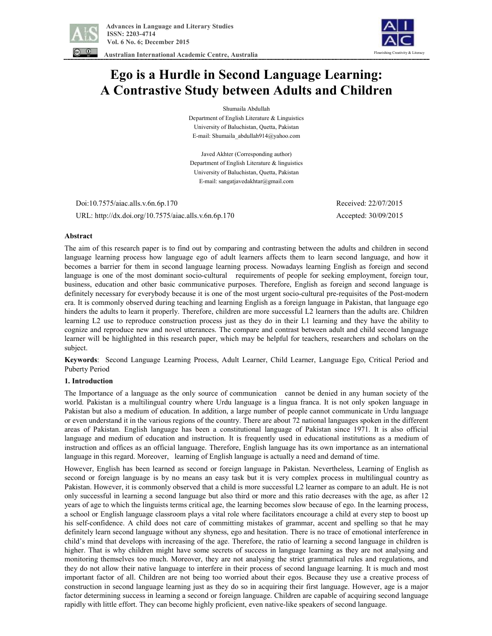



 **Australian International Academic Centre, Australia** 

# **Ego is a Hurdle in Second Language Learning: A Contrastive Study between Adults and Children**

Shumaila Abdullah Department of English Literature & Linguistics

University of Baluchistan, Quetta, Pakistan E-mail: Shumaila\_abdullah914@yahoo.com

Javed Akhter (Corresponding author) Department of English Literature & linguistics University of Baluchistan, Quetta, Pakistan E-mail: sangatjavedakhtar@gmail.com

Doi:10.7575/aiac.alls.v.6n.6p.170 Received: 22/07/2015

URL: http://dx.doi.org/10.7575/aiac.alls.v.6n.6p.170 Accepted: 30/09/2015

# **Abstract**

The aim of this research paper is to find out by comparing and contrasting between the adults and children in second language learning process how language ego of adult learners affects them to learn second language, and how it becomes a barrier for them in second language learning process. Nowadays learning English as foreign and second language is one of the most dominant socio-cultural requirements of people for seeking employment, foreign tour, business, education and other basic communicative purposes. Therefore, English as foreign and second language is definitely necessary for everybody because it is one of the most urgent socio-cultural pre-requisites of the Post-modern era. It is commonly observed during teaching and learning English as a foreign language in Pakistan, that language ego hinders the adults to learn it properly. Therefore, children are more successful L2 learners than the adults are. Children learning L2 use to reproduce construction process just as they do in their L1 learning and they have the ability to cognize and reproduce new and novel utterances. The compare and contrast between adult and child second language learner will be highlighted in this research paper, which may be helpful for teachers, researchers and scholars on the subject.

**Keywords**: Second Language Learning Process, Adult Learner, Child Learner, Language Ego, Critical Period and Puberty Period

### **1. Introduction**

The Importance of a language as the only source of communication cannot be denied in any human society of the world. Pakistan is a multilingual country where Urdu language is a lingua franca. It is not only spoken language in Pakistan but also a medium of education. In addition, a large number of people cannot communicate in Urdu language or even understand it in the various regions of the country. There are about 72 national languages spoken in the different areas of Pakistan. English language has been a constitutional language of Pakistan since 1971. It is also official language and medium of education and instruction. It is frequently used in educational institutions as a medium of instruction and offices as an official language. Therefore, English language has its own importance as an international language in this regard. Moreover, learning of English language is actually a need and demand of time.

However, English has been learned as second or foreign language in Pakistan. Nevertheless, Learning of English as second or foreign language is by no means an easy task but it is very complex process in multilingual country as Pakistan. However, it is commonly observed that a child is more successful L2 learner as compare to an adult. He is not only successful in learning a second language but also third or more and this ratio decreases with the age, as after 12 years of age to which the linguists terms critical age, the learning becomes slow because of ego. In the learning process, a school or English language classroom plays a vital role where facilitators encourage a child at every step to boost up his self-confidence. A child does not care of committing mistakes of grammar, accent and spelling so that he may definitely learn second language without any shyness, ego and hesitation. There is no trace of emotional interference in child's mind that develops with increasing of the age. Therefore, the ratio of learning a second language in children is higher. That is why children might have some secrets of success in language learning as they are not analysing and monitoring themselves too much. Moreover, they are not analysing the strict grammatical rules and regulations, and they do not allow their native language to interfere in their process of second language learning. It is much and most important factor of all. Children are not being too worried about their egos. Because they use a creative process of construction in second language learning just as they do so in acquiring their first language. However, age is a major factor determining success in learning a second or foreign language. Children are capable of acquiring second language rapidly with little effort. They can become highly proficient, even native-like speakers of second language.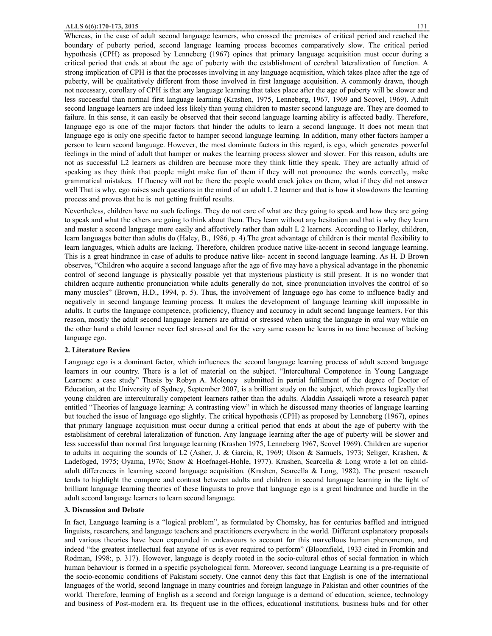Whereas, in the case of adult second language learners, who crossed the premises of critical period and reached the boundary of puberty period, second language learning process becomes comparatively slow. The critical period hypothesis (CPH) as proposed by Lenneberg (1967) opines that primary language acquisition must occur during a critical period that ends at about the age of puberty with the establishment of cerebral lateralization of function. A strong implication of CPH is that the processes involving in any language acquisition, which takes place after the age of puberty, will be qualitatively different from those involved in first language acquisition. A commonly drawn, though not necessary, corollary of CPH is that any language learning that takes place after the age of puberty will be slower and less successful than normal first language learning (Krashen, 1975, Lenneberg, 1967, 1969 and Scovel, 1969). Adult second language learners are indeed less likely than young children to master second language are. They are doomed to failure. In this sense, it can easily be observed that their second language learning ability is affected badly. Therefore, language ego is one of the major factors that hinder the adults to learn a second language. It does not mean that language ego is only one specific factor to hamper second language learning. In addition, many other factors hamper a person to learn second language. However, the most dominate factors in this regard, is ego, which generates powerful feelings in the mind of adult that hamper or makes the learning process slower and slower. For this reason, adults are not as successful L2 learners as children are because more they think little they speak. They are actually afraid of speaking as they think that people might make fun of them if they will not pronounce the words correctly, make grammatical mistakes. If fluency will not be there the people would crack jokes on them, what if they did not answer well That is why, ego raises such questions in the mind of an adult L 2 learner and that is how it slowdowns the learning process and proves that he is not getting fruitful results.

Nevertheless, children have no such feelings. They do not care of what are they going to speak and how they are going to speak and what the others are going to think about them. They learn without any hesitation and that is why they learn and master a second language more easily and affectively rather than adult L 2 learners. According to Harley, children, learn languages better than adults do (Haley, B., 1986, p. 4).The great advantage of children is their mental flexibility to learn languages, which adults are lacking. Therefore, children produce native like-accent in second language learning. This is a great hindrance in case of adults to produce native like- accent in second language learning. As H. D Brown observes, "Children who acquire a second language after the age of five may have a physical advantage in the phonemic control of second language is physically possible yet that mysterious plasticity is still present. It is no wonder that children acquire authentic pronunciation while adults generally do not, since pronunciation involves the control of so many muscles" (Brown, H.D., 1994, p. 5). Thus, the involvement of language ego has come to influence badly and negatively in second language learning process. It makes the development of language learning skill impossible in adults. It curbs the language competence, proficiency, fluency and accuracy in adult second language learners. For this reason, mostly the adult second language learners are afraid or stressed when using the language in oral way while on the other hand a child learner never feel stressed and for the very same reason he learns in no time because of lacking language ego.

#### **2. Literature Review**

Language ego is a dominant factor, which influences the second language learning process of adult second language learners in our country. There is a lot of material on the subject. "Intercultural Competence in Young Language Learners: a case study" Thesis by Robyn A. Moloney submitted in partial fulfilment of the degree of Doctor of Education, at the University of Sydney, September 2007, is a brilliant study on the subject, which proves logically that young children are interculturally competent learners rather than the adults. Aladdin Assaiqeli wrote a research paper entitled "Theories of language learning: A contrasting view" in which he discussed many theories of language learning but touched the issue of language ego slightly. The critical hypothesis (CPH) as proposed by Lenneberg (1967), opines that primary language acquisition must occur during a critical period that ends at about the age of puberty with the establishment of cerebral lateralization of function. Any language learning after the age of puberty will be slower and less successful than normal first language learning (Krashen 1975, Lenneberg 1967, Scovel 1969). Children are superior to adults in acquiring the sounds of L2 (Asher, J. & Garcia, R, 1969; Olson & Samuels, 1973; Seliger, Krashen, & Ladefoged, 1975; Oyama, 1976; Snow & Hoefnagel-Hohle, 1977). Krashen, Scarcella & Long wrote a lot on childadult differences in learning second language acquisition. (Krashen, Scarcella & Long, 1982). The present research tends to highlight the compare and contrast between adults and children in second language learning in the light of brilliant language learning theories of these linguists to prove that language ego is a great hindrance and hurdle in the adult second language learners to learn second language.

#### **3. Discussion and Debate**

In fact, Language learning is a "logical problem", as formulated by Chomsky, has for centuries baffled and intrigued linguists, researchers, and language teachers and practitioners everywhere in the world. Different explanatory proposals and various theories have been expounded in endeavours to account for this marvellous human phenomenon, and indeed "the greatest intellectual feat anyone of us is ever required to perform" (Bloomfield, 1933 cited in Fromkin and Rodman, 1998:, p. 317). However, language is deeply rooted in the socio-cultural ethos of social formation in which human behaviour is formed in a specific psychological form. Moreover, second language Learning is a pre-requisite of the socio-economic conditions of Pakistani society. One cannot deny this fact that English is one of the international languages of the world, second language in many countries and foreign language in Pakistan and other countries of the world. Therefore, learning of English as a second and foreign language is a demand of education, science, technology and business of Post-modern era. Its frequent use in the offices, educational institutions, business hubs and for other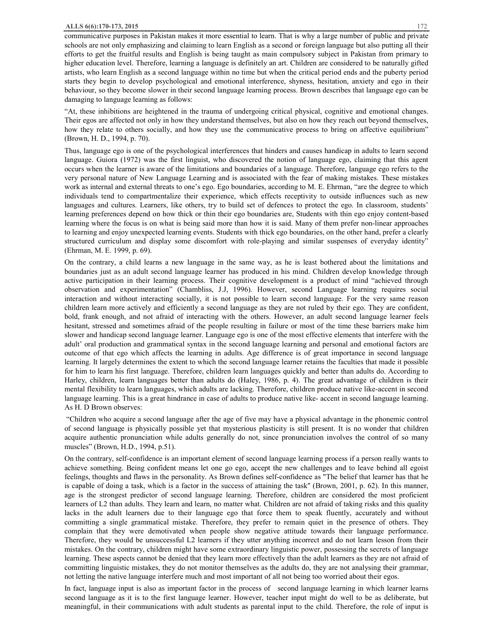communicative purposes in Pakistan makes it more essential to learn. That is why a large number of public and private schools are not only emphasizing and claiming to learn English as a second or foreign language but also putting all their efforts to get the fruitful results and English is being taught as main compulsory subject in Pakistan from primary to higher education level. Therefore, learning a language is definitely an art. Children are considered to be naturally gifted artists, who learn English as a second language within no time but when the critical period ends and the puberty period starts they begin to develop psychological and emotional interference, shyness, hesitation, anxiety and ego in their behaviour, so they become slower in their second language learning process. Brown describes that language ego can be damaging to language learning as follows:

"At, these inhibitions are heightened in the trauma of undergoing critical physical, cognitive and emotional changes. Their egos are affected not only in how they understand themselves, but also on how they reach out beyond themselves, how they relate to others socially, and how they use the communicative process to bring on affective equilibrium" (Brown, H. D., 1994, p. 70).

Thus, language ego is one of the psychological interferences that hinders and causes handicap in adults to learn second language. Guiora (1972) was the first linguist, who discovered the notion of language ego, claiming that this agent occurs when the learner is aware of the limitations and boundaries of a language. Therefore, language ego refers to the very personal nature of New Language Learning and is associated with the fear of making mistakes. These mistakes work as internal and external threats to one's ego. Ego boundaries, according to M. E. Ehrman, "are the degree to which individuals tend to compartmentalize their experience, which effects receptivity to outside influences such as new languages and cultures. Learners, like others, try to build set of defences to protect the ego. In classroom, students' learning preferences depend on how thick or thin their ego boundaries are, Students with thin ego enjoy content-based learning where the focus is on what is being said more than how it is said. Many of them prefer non-linear approaches to learning and enjoy unexpected learning events. Students with thick ego boundaries, on the other hand, prefer a clearly structured curriculum and display some discomfort with role-playing and similar suspenses of everyday identity" (Ehrman, M. E. 1999, p. 69).

On the contrary, a child learns a new language in the same way, as he is least bothered about the limitations and boundaries just as an adult second language learner has produced in his mind. Children develop knowledge through active participation in their learning process. Their cognitive development is a product of mind "achieved through observation and experimentation" (Chambliss, J.J, 1996). However, second Language learning requires social interaction and without interacting socially, it is not possible to learn second language. For the very same reason children learn more actively and efficiently a second language as they are not ruled by their ego. They are confident, bold, frank enough, and not afraid of interacting with the others. However, an adult second language learner feels hesitant, stressed and sometimes afraid of the people resulting in failure or most of the time these barriers make him slower and handicap second language learner. Language ego is one of the most effective elements that interfere with the adult' oral production and grammatical syntax in the second language learning and personal and emotional factors are outcome of that ego which affects the learning in adults. Age difference is of great importance in second language learning. It largely determines the extent to which the second language learner retains the faculties that made it possible for him to learn his first language. Therefore, children learn languages quickly and better than adults do. According to Harley, children, learn languages better than adults do (Haley, 1986, p. 4). The great advantage of children is their mental flexibility to learn languages, which adults are lacking. Therefore, children produce native like-accent in second language learning. This is a great hindrance in case of adults to produce native like- accent in second language learning. As H. D Brown observes:

"Children who acquire a second language after the age of five may have a physical advantage in the phonemic control of second language is physically possible yet that mysterious plasticity is still present. It is no wonder that children acquire authentic pronunciation while adults generally do not, since pronunciation involves the control of so many muscles" (Brown, H.D., 1994, p.51).

On the contrary, self-confidence is an important element of second language learning process if a person really wants to achieve something. Being confident means let one go ego, accept the new challenges and to leave behind all egoist feelings, thoughts and flaws in the personality. As Brown defines self-confidence as "The belief that learner has that he is capable of doing a task, which is a factor in the success of attaining the task" (Brown, 2001, p. 62). In this manner, age is the strongest predictor of second language learning. Therefore, children are considered the most proficient learners of L2 than adults. They learn and learn, no matter what. Children are not afraid of taking risks and this quality lacks in the adult learners due to their language ego that force them to speak fluently, accurately and without committing a single grammatical mistake. Therefore, they prefer to remain quiet in the presence of others. They complain that they were demotivated when people show negative attitude towards their language performance. Therefore, they would be unsuccessful L2 learners if they utter anything incorrect and do not learn lesson from their mistakes. On the contrary, children might have some extraordinary linguistic power, possessing the secrets of language learning. These aspects cannot be denied that they learn more effectively than the adult learners as they are not afraid of committing linguistic mistakes, they do not monitor themselves as the adults do, they are not analysing their grammar, not letting the native language interfere much and most important of all not being too worried about their egos.

In fact, language input is also as important factor in the process of second language learning in which learner learns second language as it is to the first language learner. However, teacher input might do well to be as deliberate, but meaningful, in their communications with adult students as parental input to the child. Therefore, the role of input is